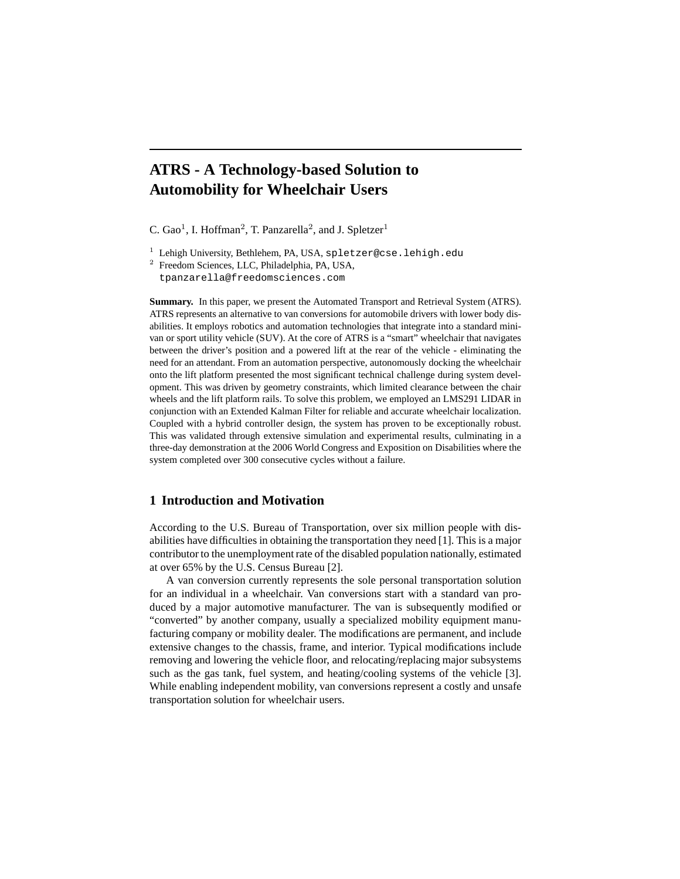# **ATRS - A Technology-based Solution to Automobility for Wheelchair Users**

C. Gao<sup>1</sup>, I. Hoffman<sup>2</sup>, T. Panzarella<sup>2</sup>, and J. Spletzer<sup>1</sup>

<sup>1</sup> Lehigh University, Bethlehem, PA, USA, spletzer@cse.lehigh.edu

<sup>2</sup> Freedom Sciences, LLC, Philadelphia, PA, USA, tpanzarella@freedomsciences.com

**Summary.** In this paper, we present the Automated Transport and Retrieval System (ATRS). ATRS represents an alternative to van conversions for automobile drivers with lower body disabilities. It employs robotics and automation technologies that integrate into a standard minivan or sport utility vehicle (SUV). At the core of ATRS is a "smart" wheelchair that navigates between the driver's position and a powered lift at the rear of the vehicle - eliminating the need for an attendant. From an automation perspective, autonomously docking the wheelchair onto the lift platform presented the most significant technical challenge during system development. This was driven by geometry constraints, which limited clearance between the chair wheels and the lift platform rails. To solve this problem, we employed an LMS291 LIDAR in conjunction with an Extended Kalman Filter for reliable and accurate wheelchair localization. Coupled with a hybrid controller design, the system has proven to be exceptionally robust. This was validated through extensive simulation and experimental results, culminating in a three-day demonstration at the 2006 World Congress and Exposition on Disabilities where the system completed over 300 consecutive cycles without a failure.

## **1 Introduction and Motivation**

According to the U.S. Bureau of Transportation, over six million people with disabilities have difficulties in obtaining the transportation they need [1]. This is a major contributor to the unemployment rate of the disabled population nationally, estimated at over 65% by the U.S. Census Bureau [2].

A van conversion currently represents the sole personal transportation solution for an individual in a wheelchair. Van conversions start with a standard van produced by a major automotive manufacturer. The van is subsequently modified or "converted" by another company, usually a specialized mobility equipment manufacturing company or mobility dealer. The modifications are permanent, and include extensive changes to the chassis, frame, and interior. Typical modifications include removing and lowering the vehicle floor, and relocating/replacing major subsystems such as the gas tank, fuel system, and heating/cooling systems of the vehicle [3]. While enabling independent mobility, van conversions represent a costly and unsafe transportation solution for wheelchair users.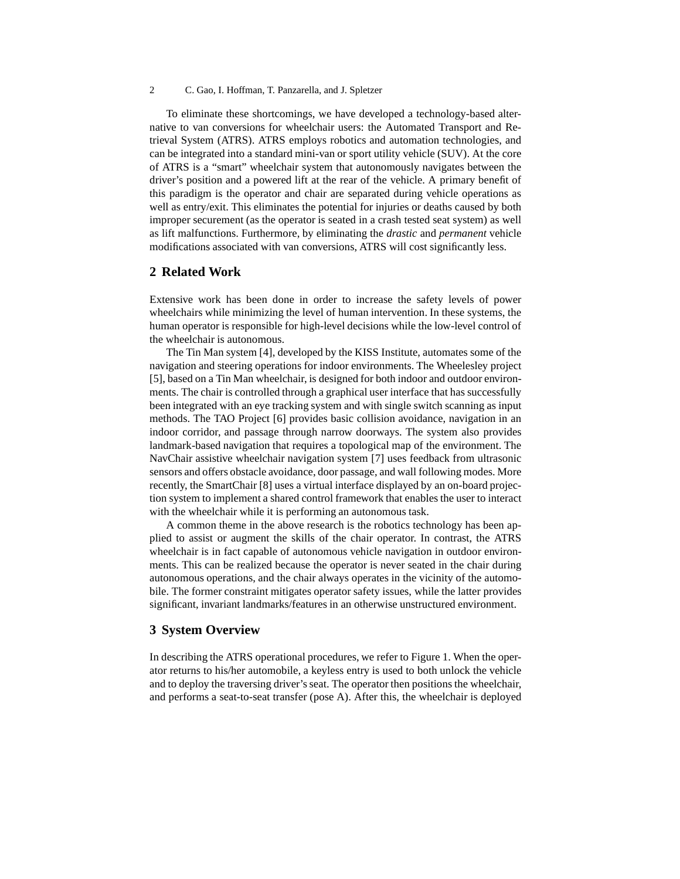To eliminate these shortcomings, we have developed a technology-based alternative to van conversions for wheelchair users: the Automated Transport and Retrieval System (ATRS). ATRS employs robotics and automation technologies, and can be integrated into a standard mini-van or sport utility vehicle (SUV). At the core of ATRS is a "smart" wheelchair system that autonomously navigates between the driver's position and a powered lift at the rear of the vehicle. A primary benefit of this paradigm is the operator and chair are separated during vehicle operations as well as entry/exit. This eliminates the potential for injuries or deaths caused by both improper securement (as the operator is seated in a crash tested seat system) as well as lift malfunctions. Furthermore, by eliminating the *drastic* and *permanent* vehicle modifications associated with van conversions, ATRS will cost significantly less.

## **2 Related Work**

Extensive work has been done in order to increase the safety levels of power wheelchairs while minimizing the level of human intervention. In these systems, the human operator is responsible for high-level decisions while the low-level control of the wheelchair is autonomous.

The Tin Man system [4], developed by the KISS Institute, automates some of the navigation and steering operations for indoor environments. The Wheelesley project [5], based on a Tin Man wheelchair, is designed for both indoor and outdoor environments. The chair is controlled through a graphical user interface that has successfully been integrated with an eye tracking system and with single switch scanning as input methods. The TAO Project [6] provides basic collision avoidance, navigation in an indoor corridor, and passage through narrow doorways. The system also provides landmark-based navigation that requires a topological map of the environment. The NavChair assistive wheelchair navigation system [7] uses feedback from ultrasonic sensors and offers obstacle avoidance, door passage, and wall following modes. More recently, the SmartChair [8] uses a virtual interface displayed by an on-board projection system to implement a shared control framework that enables the user to interact with the wheelchair while it is performing an autonomous task.

A common theme in the above research is the robotics technology has been applied to assist or augment the skills of the chair operator. In contrast, the ATRS wheelchair is in fact capable of autonomous vehicle navigation in outdoor environments. This can be realized because the operator is never seated in the chair during autonomous operations, and the chair always operates in the vicinity of the automobile. The former constraint mitigates operator safety issues, while the latter provides significant, invariant landmarks/features in an otherwise unstructured environment.

## **3 System Overview**

In describing the ATRS operational procedures, we refer to Figure 1. When the operator returns to his/her automobile, a keyless entry is used to both unlock the vehicle and to deploy the traversing driver's seat. The operator then positions the wheelchair, and performs a seat-to-seat transfer (pose A). After this, the wheelchair is deployed

<sup>2</sup> C. Gao, I. Hoffman, T. Panzarella, and J. Spletzer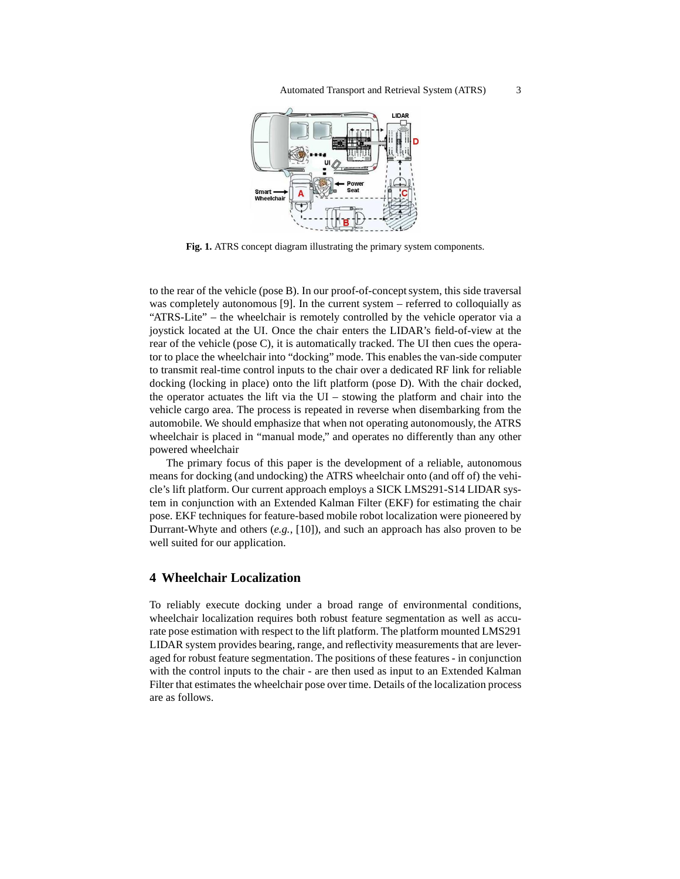

**Fig. 1.** ATRS concept diagram illustrating the primary system components.

to the rear of the vehicle (pose B). In our proof-of-concept system, this side traversal was completely autonomous [9]. In the current system – referred to colloquially as "ATRS-Lite" – the wheelchair is remotely controlled by the vehicle operator via a joystick located at the UI. Once the chair enters the LIDAR's field-of-view at the rear of the vehicle (pose C), it is automatically tracked. The UI then cues the operator to place the wheelchair into "docking" mode. This enables the van-side computer to transmit real-time control inputs to the chair over a dedicated RF link for reliable docking (locking in place) onto the lift platform (pose D). With the chair docked, the operator actuates the lift via the UI – stowing the platform and chair into the vehicle cargo area. The process is repeated in reverse when disembarking from the automobile. We should emphasize that when not operating autonomously, the ATRS wheelchair is placed in "manual mode," and operates no differently than any other powered wheelchair

The primary focus of this paper is the development of a reliable, autonomous means for docking (and undocking) the ATRS wheelchair onto (and off of) the vehicle's lift platform. Our current approach employs a SICK LMS291-S14 LIDAR system in conjunction with an Extended Kalman Filter (EKF) for estimating the chair pose. EKF techniques for feature-based mobile robot localization were pioneered by Durrant-Whyte and others (*e.g.*, [10]), and such an approach has also proven to be well suited for our application.

## **4 Wheelchair Localization**

To reliably execute docking under a broad range of environmental conditions, wheelchair localization requires both robust feature segmentation as well as accurate pose estimation with respect to the lift platform. The platform mounted LMS291 LIDAR system provides bearing, range, and reflectivity measurements that are leveraged for robust feature segmentation. The positions of these features - in conjunction with the control inputs to the chair - are then used as input to an Extended Kalman Filter that estimates the wheelchair pose over time. Details of the localization process are as follows.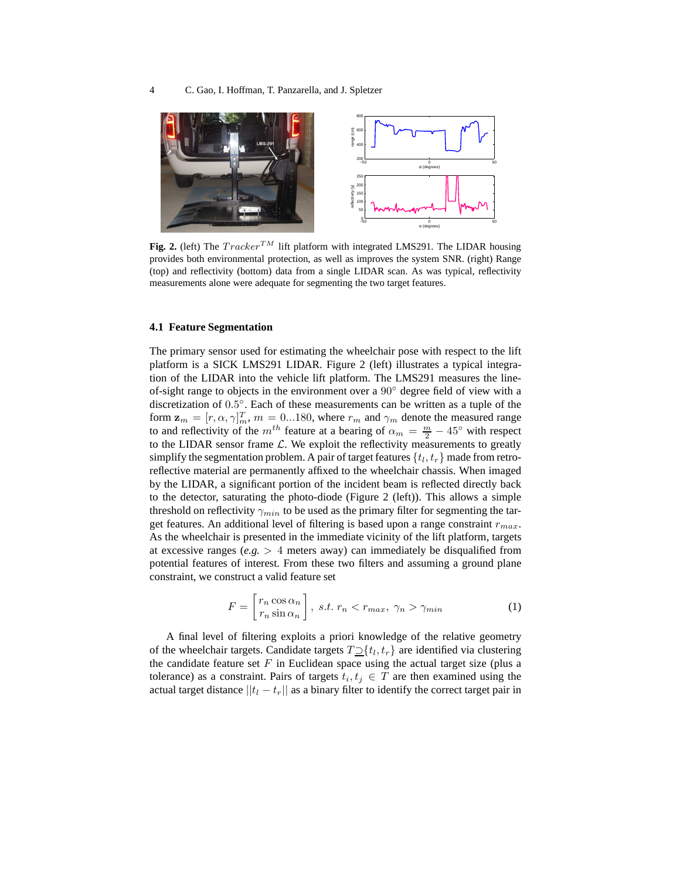

**Fig. 2.** (left) The  $Tracker^{TM}$  lift platform with integrated LMS291. The LIDAR housing provides both environmental protection, as well as improves the system SNR. (right) Range (top) and reflectivity (bottom) data from a single LIDAR scan. As was typical, reflectivity measurements alone were adequate for segmenting the two target features.

#### **4.1 Feature Segmentation**

The primary sensor used for estimating the wheelchair pose with respect to the lift platform is a SICK LMS291 LIDAR. Figure 2 (left) illustrates a typical integration of the LIDAR into the vehicle lift platform. The LMS291 measures the lineof-sight range to objects in the environment over a 90◦ degree field of view with a discretization of 0.5 ◦ . Each of these measurements can be written as a tuple of the form  $\mathbf{z}_m = [r, \alpha, \gamma]_m^T$ ,  $m = 0...180$ , where  $r_m$  and  $\gamma_m$  denote the measured range to and reflectivity of the  $m^{th}$  feature at a bearing of  $\alpha_m = \frac{m}{2} - 45^\circ$  with respect to the LIDAR sensor frame  $\mathcal{L}$ . We exploit the reflectivity measurements to greatly simplify the segmentation problem. A pair of target features  $\{t_l, t_r\}$  made from retroreflective material are permanently affixed to the wheelchair chassis. When imaged by the LIDAR, a significant portion of the incident beam is reflected directly back to the detector, saturating the photo-diode (Figure 2 (left)). This allows a simple threshold on reflectivity  $\gamma_{min}$  to be used as the primary filter for segmenting the target features. An additional level of filtering is based upon a range constraint  $r_{max}$ . As the wheelchair is presented in the immediate vicinity of the lift platform, targets at excessive ranges ( $e.g. > 4$  meters away) can immediately be disqualified from potential features of interest. From these two filters and assuming a ground plane constraint, we construct a valid feature set

$$
F = \begin{bmatrix} r_n \cos \alpha_n \\ r_n \sin \alpha_n \end{bmatrix}, \ s.t. \ r_n < r_{max}, \ \gamma_n > \gamma_{min} \tag{1}
$$

A final level of filtering exploits a priori knowledge of the relative geometry of the wheelchair targets. Candidate targets  $T\square \{t_l, t_r\}$  are identified via clustering the candidate feature set  $F$  in Euclidean space using the actual target size (plus a tolerance) as a constraint. Pairs of targets  $t_i, t_j \in T$  are then examined using the actual target distance  $||t_1 - t_r||$  as a binary filter to identify the correct target pair in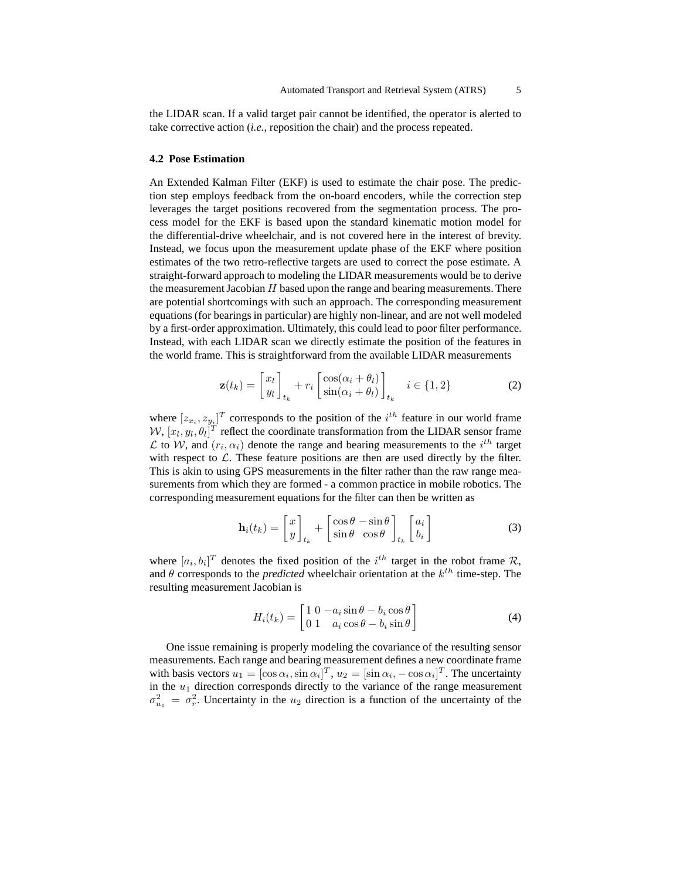the LIDAR scan. If a valid target pair cannot be identified, the operator is alerted to take corrective action (*i.e.*, reposition the chair) and the process repeated.

## **4.2 Pose Estimation**

An Extended Kalman Filter (EKF) is used to estimate the chair pose. The prediction step employs feedback from the on-board encoders, while the correction step leverages the target positions recovered from the segmentation process. The process model for the EKF is based upon the standard kinematic motion model for the differential-drive wheelchair, and is not covered here in the interest of brevity. Instead, we focus upon the measurement update phase of the EKF where position estimates of the two retro-reflective targets are used to correct the pose estimate. A straight-forward approach to modeling the LIDAR measurements would be to derive the measurement Jacobian H based upon the range and bearing measurements. There are potential shortcomings with such an approach. The corresponding measurement equations (for bearings in particular) are highly non-linear, and are not well modeled by a first-order approximation. Ultimately, this could lead to poor filter performance. Instead, with each LIDAR scan we directly estimate the position of the features in the world frame. This is straightforward from the available LIDAR measurements

$$
\mathbf{z}(t_k) = \begin{bmatrix} x_l \\ y_l \end{bmatrix}_{t_k} + r_i \begin{bmatrix} \cos(\alpha_i + \theta_l) \\ \sin(\alpha_i + \theta_l) \end{bmatrix}_{t_k} \quad i \in \{1, 2\}
$$
 (2)

where  $[z_{x_i}, z_{y_i}]^T$  corresponds to the position of the  $i^{th}$  feature in our world frame  $W$ ,  $[x_l, y_l, \theta_l]^T$  reflect the coordinate transformation from the LIDAR sensor frame L to W, and  $(r_i, \alpha_i)$  denote the range and bearing measurements to the  $i^{th}$  target with respect to  $\mathcal{L}$ . These feature positions are then are used directly by the filter. This is akin to using GPS measurements in the filter rather than the raw range measurements from which they are formed - a common practice in mobile robotics. The corresponding measurement equations for the filter can then be written as

$$
\mathbf{h}_i(t_k) = \begin{bmatrix} x \\ y \end{bmatrix}_{t_k} + \begin{bmatrix} \cos \theta - \sin \theta \\ \sin \theta & \cos \theta \end{bmatrix}_{t_k} \begin{bmatrix} a_i \\ b_i \end{bmatrix}
$$
 (3)

where  $[a_i, b_i]^T$  denotes the fixed position of the  $i^{th}$  target in the robot frame R, and  $\theta$  corresponds to the *predicted* wheelchair orientation at the  $k^{th}$  time-step. The resulting measurement Jacobian is

$$
H_i(t_k) = \begin{bmatrix} 1 & 0 & -a_i \sin \theta - b_i \cos \theta \\ 0 & 1 & a_i \cos \theta - b_i \sin \theta \end{bmatrix}
$$
 (4)

One issue remaining is properly modeling the covariance of the resulting sensor measurements. Each range and bearing measurement defines a new coordinate frame with basis vectors  $u_1 = [\cos \alpha_i, \sin \alpha_i]^T$ ,  $u_2 = [\sin \alpha_i, -\cos \alpha_i]^T$ . The uncertainty in the  $u_1$  direction corresponds directly to the variance of the range measurement  $\sigma_{u_1}^2 = \sigma_r^2$ . Uncertainty in the  $u_2$  direction is a function of the uncertainty of the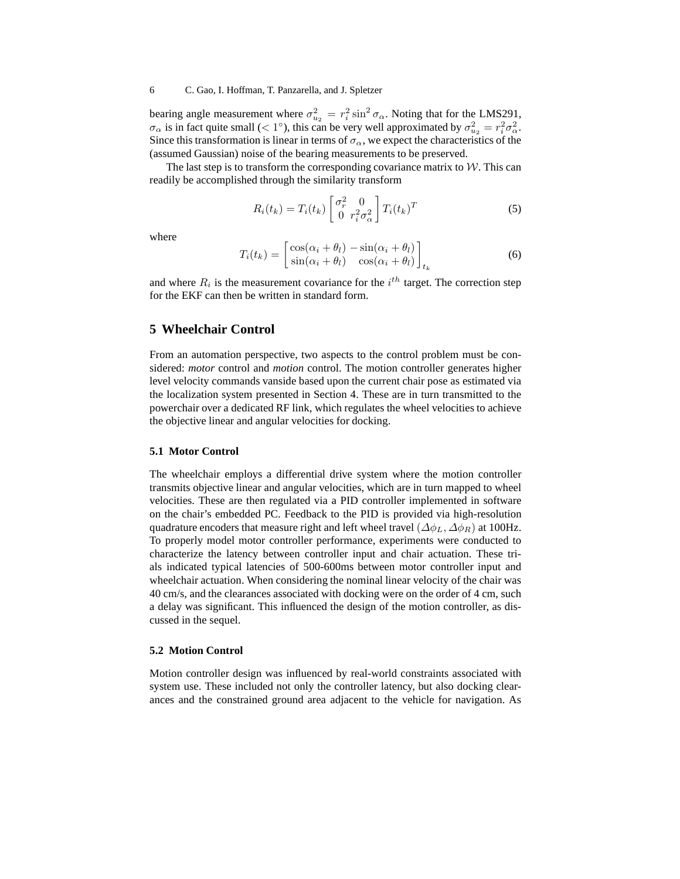#### 6 C. Gao, I. Hoffman, T. Panzarella, and J. Spletzer

bearing angle measurement where  $\sigma_{u_2}^2 = r_i^2 \sin^2 \sigma_{\alpha}$ . Noting that for the LMS291,  $\sigma_{\alpha}$  is in fact quite small (< 1°), this can be very well approximated by  $\sigma_{u_2}^2 = r_i^2 \sigma_{\alpha}^2$ . Since this transformation is linear in terms of  $\sigma_{\alpha}$ , we expect the characteristics of the (assumed Gaussian) noise of the bearing measurements to be preserved.

The last step is to transform the corresponding covariance matrix to  $W$ . This can readily be accomplished through the similarity transform

$$
R_i(t_k) = T_i(t_k) \begin{bmatrix} \sigma_r^2 & 0\\ 0 & r_i^2 \sigma_\alpha^2 \end{bmatrix} T_i(t_k)^T
$$
 (5)

where

$$
T_i(t_k) = \begin{bmatrix} \cos(\alpha_i + \theta_l) - \sin(\alpha_i + \theta_l) \\ \sin(\alpha_i + \theta_l) & \cos(\alpha_i + \theta_l) \end{bmatrix}_{t_k}
$$
 (6)

and where  $R_i$  is the measurement covariance for the  $i^{th}$  target. The correction step for the EKF can then be written in standard form.

# **5 Wheelchair Control**

From an automation perspective, two aspects to the control problem must be considered: *motor* control and *motion* control. The motion controller generates higher level velocity commands vanside based upon the current chair pose as estimated via the localization system presented in Section 4. These are in turn transmitted to the powerchair over a dedicated RF link, which regulates the wheel velocities to achieve the objective linear and angular velocities for docking.

#### **5.1 Motor Control**

The wheelchair employs a differential drive system where the motion controller transmits objective linear and angular velocities, which are in turn mapped to wheel velocities. These are then regulated via a PID controller implemented in software on the chair's embedded PC. Feedback to the PID is provided via high-resolution quadrature encoders that measure right and left wheel travel ( $\Delta\phi_L$ ,  $\Delta\phi_R$ ) at 100Hz. To properly model motor controller performance, experiments were conducted to characterize the latency between controller input and chair actuation. These trials indicated typical latencies of 500-600ms between motor controller input and wheelchair actuation. When considering the nominal linear velocity of the chair was 40 cm/s, and the clearances associated with docking were on the order of 4 cm, such a delay was significant. This influenced the design of the motion controller, as discussed in the sequel.

#### **5.2 Motion Control**

Motion controller design was influenced by real-world constraints associated with system use. These included not only the controller latency, but also docking clearances and the constrained ground area adjacent to the vehicle for navigation. As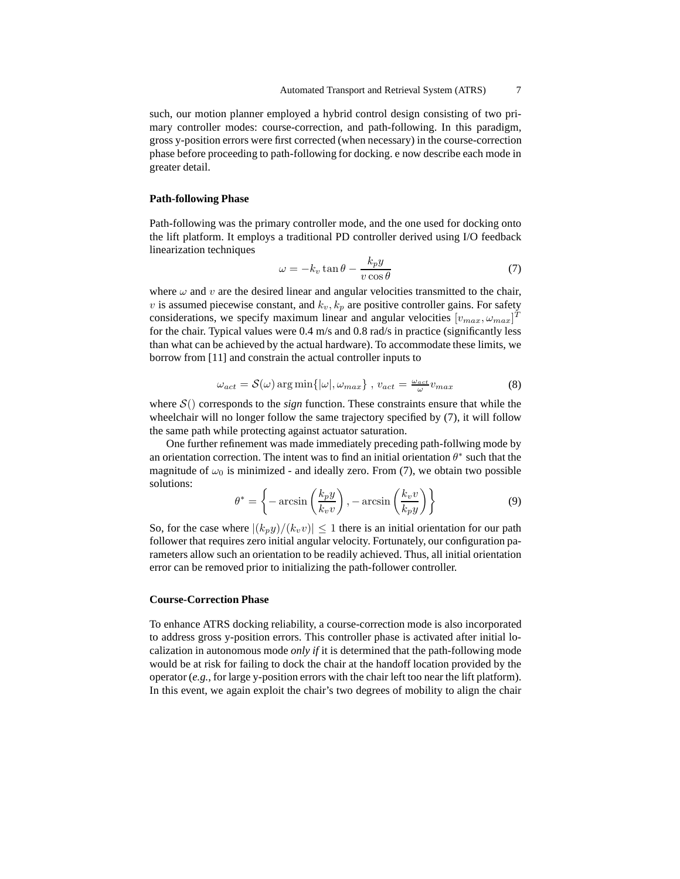such, our motion planner employed a hybrid control design consisting of two primary controller modes: course-correction, and path-following. In this paradigm, gross y-position errors were first corrected (when necessary) in the course-correction phase before proceeding to path-following for docking. e now describe each mode in greater detail.

### **Path-following Phase**

Path-following was the primary controller mode, and the one used for docking onto the lift platform. It employs a traditional PD controller derived using I/O feedback linearization techniques

$$
\omega = -k_v \tan \theta - \frac{k_p y}{v \cos \theta} \tag{7}
$$

where  $\omega$  and  $v$  are the desired linear and angular velocities transmitted to the chair, v is assumed piecewise constant, and  $k_v$ ,  $k_p$  are positive controller gains. For safety considerations, we specify maximum linear and angular velocities  $[v_{max}, \omega_{max}]^T$ for the chair. Typical values were 0.4 m/s and 0.8 rad/s in practice (significantly less than what can be achieved by the actual hardware). To accommodate these limits, we borrow from [11] and constrain the actual controller inputs to

$$
\omega_{act} = \mathcal{S}(\omega) \arg \min \{ |\omega|, \omega_{max} \}, \ v_{act} = \frac{\omega_{act}}{\omega} v_{max}
$$
(8)

where  $S()$  corresponds to the *sign* function. These constraints ensure that while the wheelchair will no longer follow the same trajectory specified by (7), it will follow the same path while protecting against actuator saturation.

One further refinement was made immediately preceding path-follwing mode by an orientation correction. The intent was to find an initial orientation  $\theta^*$  such that the magnitude of  $\omega_0$  is minimized - and ideally zero. From (7), we obtain two possible solutions:

$$
\theta^* = \left\{-\arcsin\left(\frac{k_p y}{k_v v}\right), -\arcsin\left(\frac{k_v v}{k_p y}\right)\right\} \tag{9}
$$

So, for the case where  $|(k_p y)/(k_v v)| \leq 1$  there is an initial orientation for our path follower that requires zero initial angular velocity. Fortunately, our configuration parameters allow such an orientation to be readily achieved. Thus, all initial orientation error can be removed prior to initializing the path-follower controller.

#### **Course-Correction Phase**

To enhance ATRS docking reliability, a course-correction mode is also incorporated to address gross y-position errors. This controller phase is activated after initial localization in autonomous mode *only if* it is determined that the path-following mode would be at risk for failing to dock the chair at the handoff location provided by the operator (*e.g.*, for large y-position errors with the chair left too near the lift platform). In this event, we again exploit the chair's two degrees of mobility to align the chair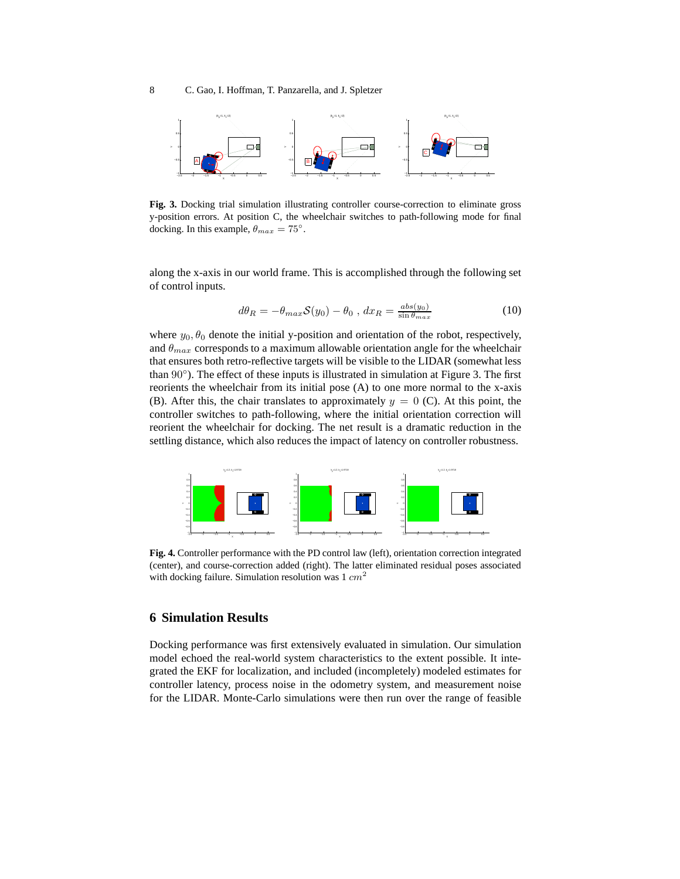

**Fig. 3.** Docking trial simulation illustrating controller course-correction to eliminate gross y-position errors. At position C, the wheelchair switches to path-following mode for final docking. In this example,  $\theta_{max} = 75^{\circ}$ .

along the x-axis in our world frame. This is accomplished through the following set of control inputs.

$$
d\theta_R = -\theta_{max} S(y_0) - \theta_0 , dx_R = \frac{abs(y_0)}{\sin \theta_{max}} \tag{10}
$$

where  $y_0$ ,  $\theta_0$  denote the initial y-position and orientation of the robot, respectively, and  $\theta_{max}$  corresponds to a maximum allowable orientation angle for the wheelchair that ensures both retro-reflective targets will be visible to the LIDAR (somewhat less than 90°). The effect of these inputs is illustrated in simulation at Figure 3. The first reorients the wheelchair from its initial pose (A) to one more normal to the x-axis (B). After this, the chair translates to approximately  $y = 0$  (C). At this point, the controller switches to path-following, where the initial orientation correction will reorient the wheelchair for docking. The net result is a dramatic reduction in the settling distance, which also reduces the impact of latency on controller robustness.



**Fig. 4.** Controller performance with the PD control law (left), orientation correction integrated (center), and course-correction added (right). The latter eliminated residual poses associated with docking failure. Simulation resolution was  $1 \, cm^2$ 

# **6 Simulation Results**

Docking performance was first extensively evaluated in simulation. Our simulation model echoed the real-world system characteristics to the extent possible. It integrated the EKF for localization, and included (incompletely) modeled estimates for controller latency, process noise in the odometry system, and measurement noise for the LIDAR. Monte-Carlo simulations were then run over the range of feasible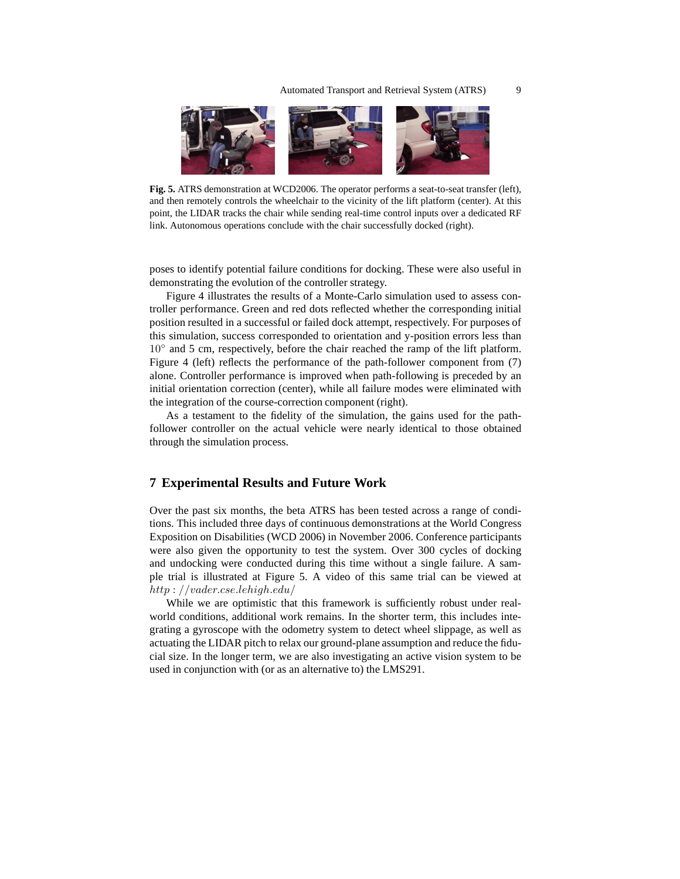

**Fig. 5.** ATRS demonstration at WCD2006. The operator performs a seat-to-seat transfer (left), and then remotely controls the wheelchair to the vicinity of the lift platform (center). At this point, the LIDAR tracks the chair while sending real-time control inputs over a dedicated RF link. Autonomous operations conclude with the chair successfully docked (right).

poses to identify potential failure conditions for docking. These were also useful in demonstrating the evolution of the controller strategy.

Figure 4 illustrates the results of a Monte-Carlo simulation used to assess controller performance. Green and red dots reflected whether the corresponding initial position resulted in a successful or failed dock attempt, respectively. For purposes of this simulation, success corresponded to orientation and y-position errors less than 10<sup>°</sup> and 5 cm, respectively, before the chair reached the ramp of the lift platform. Figure 4 (left) reflects the performance of the path-follower component from (7) alone. Controller performance is improved when path-following is preceded by an initial orientation correction (center), while all failure modes were eliminated with the integration of the course-correction component (right).

As a testament to the fidelity of the simulation, the gains used for the pathfollower controller on the actual vehicle were nearly identical to those obtained through the simulation process.

## **7 Experimental Results and Future Work**

Over the past six months, the beta ATRS has been tested across a range of conditions. This included three days of continuous demonstrations at the World Congress Exposition on Disabilities (WCD 2006) in November 2006. Conference participants were also given the opportunity to test the system. Over 300 cycles of docking and undocking were conducted during this time without a single failure. A sample trial is illustrated at Figure 5. A video of this same trial can be viewed at http : //vader.cse.lehigh.edu/

While we are optimistic that this framework is sufficiently robust under realworld conditions, additional work remains. In the shorter term, this includes integrating a gyroscope with the odometry system to detect wheel slippage, as well as actuating the LIDAR pitch to relax our ground-plane assumption and reduce the fiducial size. In the longer term, we are also investigating an active vision system to be used in conjunction with (or as an alternative to) the LMS291.